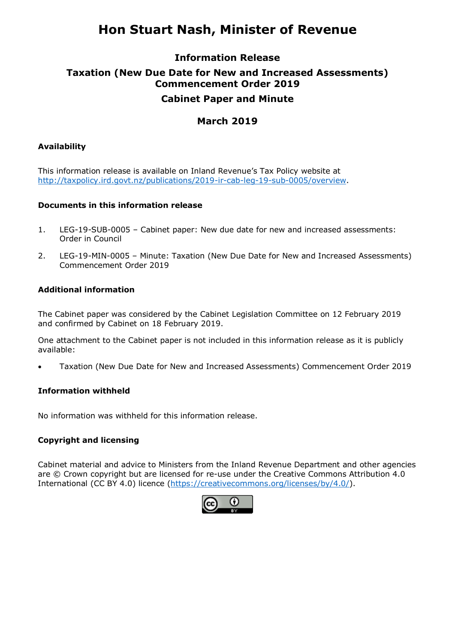# **Hon Stuart Nash, Minister of Revenue**

## **Information Release Taxation (New Due Date for New and Increased Assessments) Commencement Order 2019 Cabinet Paper and Minute**

#### **March 2019**

#### **Availability**

This information release is available on Inland Revenue's Tax Policy website at [http://taxpolicy.ird.govt.nz/publications/2019-ir-cab-leg-19-sub-0005/overview.](http://taxpolicy.ird.govt.nz/publications/2019-ir-cab-leg-19-sub-0005/overview)

#### **Documents in this information release**

- 1. LEG-19-SUB-0005 Cabinet paper: New due date for new and increased assessments: Order in Council
- 2. LEG-19-MIN-0005 Minute: Taxation (New Due Date for New and Increased Assessments) Commencement Order 2019

#### **Additional information**

The Cabinet paper was considered by the Cabinet Legislation Committee on 12 February 2019 and confirmed by Cabinet on 18 February 2019.

One attachment to the Cabinet paper is not included in this information release as it is publicly available:

• Taxation (New Due Date for New and Increased Assessments) Commencement Order 2019

#### **Information withheld**

No information was withheld for this information release.

#### **Copyright and licensing**

Cabinet material and advice to Ministers from the Inland Revenue Department and other agencies are © Crown copyright but are licensed for re-use under the Creative Commons Attribution 4.0 International (CC BY 4.0) licence [\(https://creativecommons.org/licenses/by/4.0/\)](https://creativecommons.org/licenses/by/4.0/).

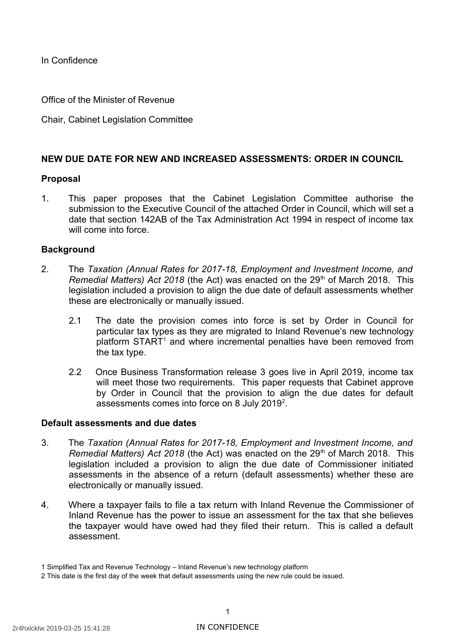In Confidence

Office of the Minister of Revenue

Chair, Cabinet Legislation Committee

#### **NEW DUE DATE FOR NEW AND INCREASED ASSESSMENTS: ORDER IN COUNCIL**

#### **Proposal**

 1. This paper proposes that the Cabinet Legislation Committee authorise the submission to the Executive Council of the attached Order in Council, which will set a date that section 142AB of the Tax Administration Act 1994 in respect of income tax will come into force.

#### **Background**

- 2. The *Taxation (Annual Rates for 2017-18, Employment and Investment Income, and*  Remedial Matters) Act 2018 (the Act) was enacted on the 29<sup>th</sup> of March 2018. This legislation included a provision to align the due date of default assessments whether these are electronically or manually issued.
	- 2.1 The date the provision comes into force is set by Order in Council for particular tax types as they are migrated to Inland Revenue's new technology platform START<sup>1</sup> and where incremental penalties have been removed from the tax type.
	- 2.2 Once Business Transformation release 3 goes live in April 2019, income tax will meet those two requirements. This paper requests that Cabinet approve by Order in Council that the provision to align the due dates for default assessments comes into force on 8 July 2019<sup>2</sup>.

#### **Default assessments and due dates**

- 3. The *Taxation (Annual Rates for 2017-18, Employment and Investment Income, and*  Remedial Matters) Act 2018 (the Act) was enacted on the 29<sup>th</sup> of March 2018. This legislation included a provision to align the due date of Commissioner initiated assessments in the absence of a return (default assessments) whether these are electronically or manually issued.
- 4. Where a taxpayer fails to file a tax return with Inland Revenue the Commissioner of Inland Revenue has the power to issue an assessment for the tax that she believes the taxpayer would have owed had they filed their return. This is called a default assessment.

<span id="page-2-0"></span><sup>1</sup> Simplified Tax and Revenue Technology – Inland Revenue's new technology platform

<span id="page-2-1"></span><sup>2</sup> This date is the first day of the week that default assessments using the new rule could be issued.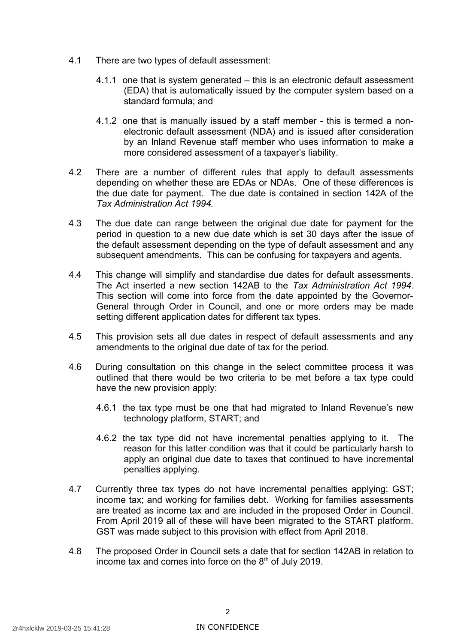- 4.1 There are two types of default assessment:
	- 4.1.1 one that is system generated this is an electronic default assessment (EDA) that is automatically issued by the computer system based on a standard formula; and
	- 4.1.2 one that is manually issued by a staff member this is termed a non- electronic default assessment (NDA) and is issued after consideration by an Inland Revenue staff member who uses information to make a more considered assessment of a taxpayer's liability.
- 4.2 There are a number of different rules that apply to default assessments depending on whether these are EDAs or NDAs. One of these differences is the due date for payment. The due date is contained in section 142A of the  *Tax Administration Act 1994.*
- 4.3 The due date can range between the original due date for payment for the period in question to a new due date which is set 30 days after the issue of the default assessment depending on the type of default assessment and any subsequent amendments. This can be confusing for taxpayers and agents.
- 4.4 This change will simplify and standardise due dates for default assessments. The Act inserted a new section 142AB to the *Tax Administration Act 1994*. This section will come into force from the date appointed by the Governor- General through Order in Council, and one or more orders may be made setting different application dates for different tax types.
- 4.5 This provision sets all due dates in respect of default assessments and any amendments to the original due date of tax for the period.
- 4.6 During consultation on this change in the select committee process it was outlined that there would be two criteria to be met before a tax type could have the new provision apply:
	- 4.6.1 the tax type must be one that had migrated to Inland Revenue's new technology platform, START; and
	- 4.6.2 the tax type did not have incremental penalties applying to it. The reason for this latter condition was that it could be particularly harsh to apply an original due date to taxes that continued to have incremental penalties applying.
- 4.7 Currently three tax types do not have incremental penalties applying: GST; income tax; and working for families debt. Working for families assessments are treated as income tax and are included in the proposed Order in Council. From April 2019 all of these will have been migrated to the START platform. GST was made subject to this provision with effect from April 2018.
- 4.8 The proposed Order in Council sets a date that for section 142AB in relation to income tax and comes into force on the  $8<sup>th</sup>$  of July 2019.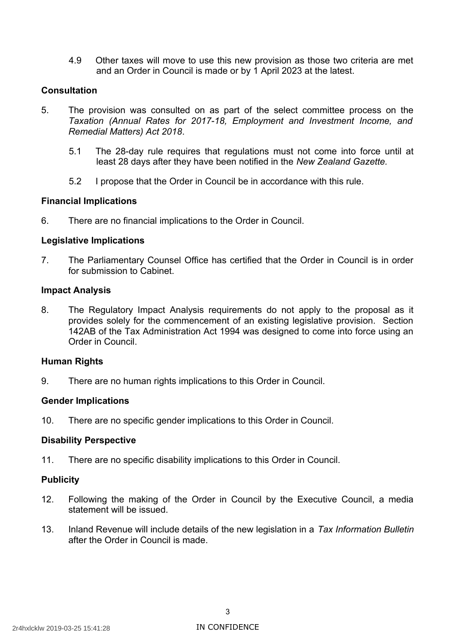4.9 Other taxes will move to use this new provision as those two criteria are met and an Order in Council is made or by 1 April 2023 at the latest.

#### **Consultation**

- 5. The provision was consulted on as part of the select committee process on the Taxation (Annual Rates for 2017-18, Employment and Investment Income, and *Remedial Matters) Act 2018*.
	- 5.1 The 28-day rule requires that regulations must not come into force until at least 28 days after they have been notified in the *New Zealand Gazette.*
	- 5.2 I propose that the Order in Council be in accordance with this rule.

#### **Financial Implications**

6. There are no financial implications to the Order in Council.

#### **Legislative Implications**

 7. The Parliamentary Counsel Office has certified that the Order in Council is in order for submission to Cabinet.

#### **Impact Analysis**

 8. The Regulatory Impact Analysis requirements do not apply to the proposal as it provides solely for the commencement of an existing legislative provision. Section 142AB of the Tax Administration Act 1994 was designed to come into force using an Order in Council.

#### **Human Rights**

9. There are no human rights implications to this Order in Council.

#### **Gender Implications**

10. There are no specific gender implications to this Order in Council.

#### **Disability Perspective**

11. There are no specific disability implications to this Order in Council.

#### **Publicity**

- 12. Following the making of the Order in Council by the Executive Council, a media statement will be issued.
- 13. Inland Revenue will include details of the new legislation in a *Tax Information Bulletin*  after the Order in Council is made.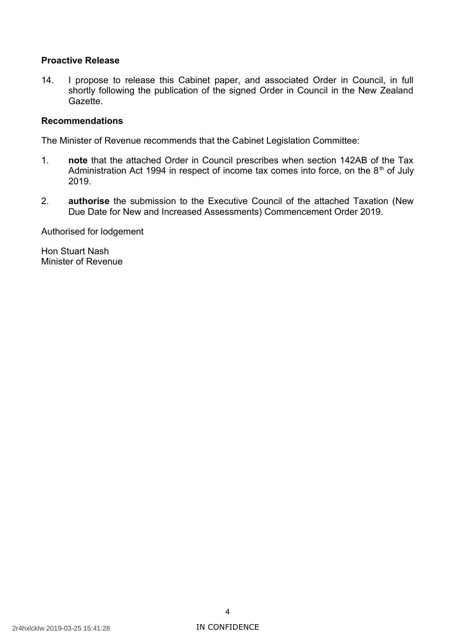#### **Proactive Release**

 14. I propose to release this Cabinet paper, and associated Order in Council, in full shortly following the publication of the signed Order in Council in the New Zealand Gazette.

#### **Recommendations**

The Minister of Revenue recommends that the Cabinet Legislation Committee:

- 1. **note** that the attached Order in Council prescribes when section 142AB of the Tax Administration Act 1994 in respect of income tax comes into force, on the  $8<sup>th</sup>$  of July 2019.
- 2. **authorise** the submission to the Executive Council of the attached Taxation (New Due Date for New and Increased Assessments) Commencement Order 2019.

Authorised for lodgement

 Hon Stuart Nash Minister of Revenue